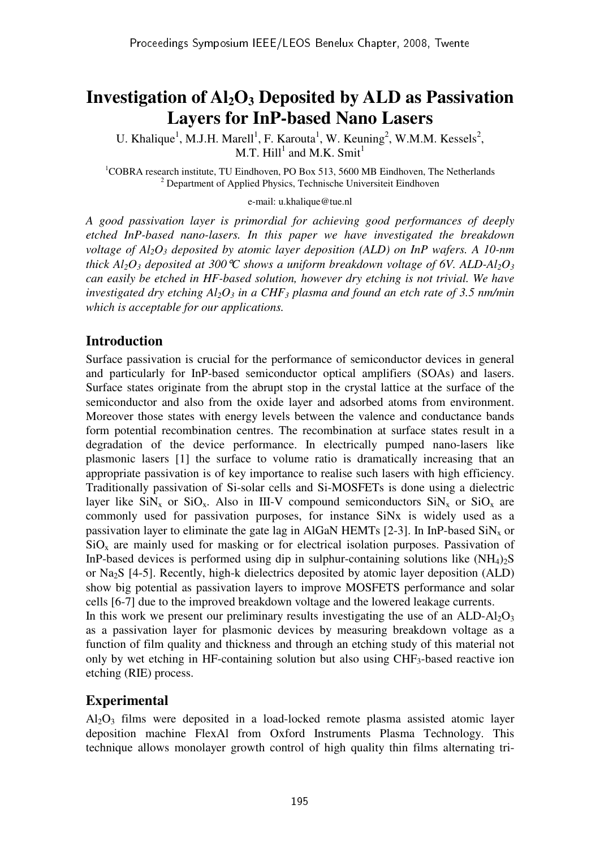# **Investigation of Al2O3 Deposited by ALD as Passivation Layers for InP-based Nano Lasers**

U. Khalique<sup>1</sup>, M.J.H. Marell<sup>1</sup>, F. Karouta<sup>1</sup>, W. Keuning<sup>2</sup>, W.M.M. Kessels<sup>2</sup>, M.T.  $Hill<sup>1</sup>$  and M.K. Smit<sup>1</sup>

<sup>1</sup>COBRA research institute, TU Eindhoven, PO Box 513, 5600 MB Eindhoven, The Netherlands <sup>2</sup> Department of Applied Physics, Technische Universiteit Eindhoven

e-mail: u.khalique@tue.nl

*A good passivation layer is primordial for achieving good performances of deeply etched InP-based nano-lasers. In this paper we have investigated the breakdown voltage of Al2O3 deposited by atomic layer deposition (ALD) on InP wafers. A 10-nm thick Al*<sup>2</sup>O<sub>3</sub></sub> *deposited at 300*<sup> $\degree$ </sup>*C shows a uniform breakdown voltage of 6V. ALD-Al*<sup>2</sup>O<sub>3</sub> *can easily be etched in HF-based solution, however dry etching is not trivial. We have investigated dry etching Al2O3 in a CHF3 plasma and found an etch rate of 3.5 nm/min which is acceptable for our applications.* 

### **Introduction**

Surface passivation is crucial for the performance of semiconductor devices in general and particularly for InP-based semiconductor optical amplifiers (SOAs) and lasers. Surface states originate from the abrupt stop in the crystal lattice at the surface of the semiconductor and also from the oxide layer and adsorbed atoms from environment. Moreover those states with energy levels between the valence and conductance bands form potential recombination centres. The recombination at surface states result in a degradation of the device performance. In electrically pumped nano-lasers like plasmonic lasers [1] the surface to volume ratio is dramatically increasing that an appropriate passivation is of key importance to realise such lasers with high efficiency. Traditionally passivation of Si-solar cells and Si-MOSFETs is done using a dielectric layer like  $\sin x_x$  or  $\sin x_x$ . Also in III-V compound semiconductors  $\sin x_x$  or  $\sin x_x$  are commonly used for passivation purposes, for instance SiNx is widely used as a passivation layer to eliminate the gate lag in AlGaN HEMTs [2-3]. In InP-based  $\text{SiN}_x$  or  $SiO<sub>x</sub>$  are mainly used for masking or for electrical isolation purposes. Passivation of InP-based devices is performed using dip in sulphur-containing solutions like  $(NH_4)_{2}S$ or Na2S [4-5]. Recently, high-k dielectrics deposited by atomic layer deposition (ALD) show big potential as passivation layers to improve MOSFETS performance and solar cells [6-7] due to the improved breakdown voltage and the lowered leakage currents.

In this work we present our preliminary results investigating the use of an  $ALD-Al<sub>2</sub>O<sub>3</sub>$ as a passivation layer for plasmonic devices by measuring breakdown voltage as a function of film quality and thickness and through an etching study of this material not only by wet etching in HF-containing solution but also using CHF3-based reactive ion etching (RIE) process.

## **Experimental**

 $Al_2O_3$  films were deposited in a load-locked remote plasma assisted atomic layer deposition machine FlexAl from Oxford Instruments Plasma Technology. This technique allows monolayer growth control of high quality thin films alternating tri-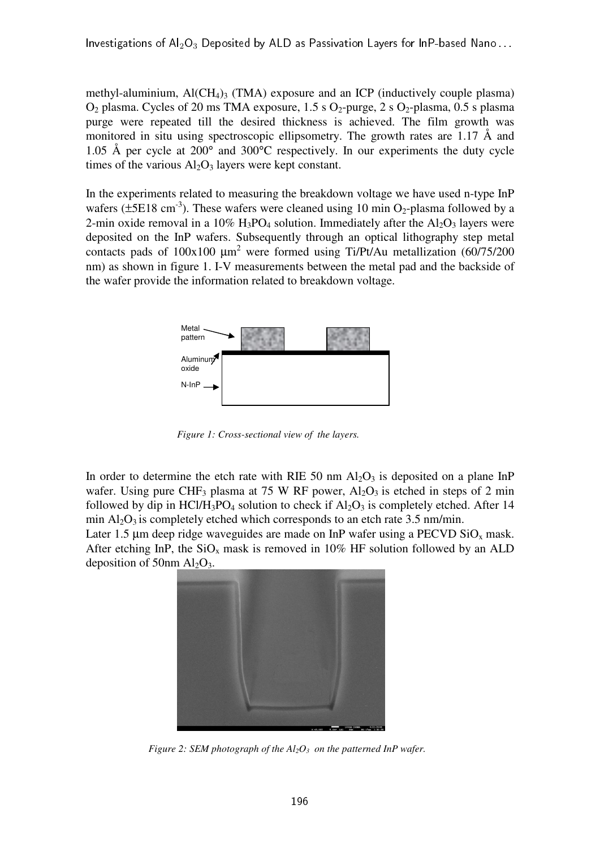methyl-aluminium,  $AI(CH_4)$ <sub>3</sub> (TMA) exposure and an ICP (inductively couple plasma)  $O_2$  plasma. Cycles of 20 ms TMA exposure, 1.5 s  $O_2$ -purge, 2 s  $O_2$ -plasma, 0.5 s plasma purge were repeated till the desired thickness is achieved. The film growth was monitored in situ using spectroscopic ellipsometry. The growth rates are 1.17 Å and 1.05 Å per cycle at 200° and 300°C respectively. In our experiments the duty cycle times of the various  $A<sub>1</sub>O<sub>3</sub>$  layers were kept constant.

In the experiments related to measuring the breakdown voltage we have used n-type InP wafers ( $\pm$ 5E18 cm<sup>-3</sup>). These wafers were cleaned using 10 min O<sub>2</sub>-plasma followed by a 2-min oxide removal in a  $10\%$  H<sub>3</sub>PO<sub>4</sub> solution. Immediately after the Al<sub>2</sub>O<sub>3</sub> layers were deposited on the InP wafers. Subsequently through an optical lithography step metal contacts pads of  $100x100 \mu m^2$  were formed using Ti/Pt/Au metallization (60/75/200 nm) as shown in figure 1. I-V measurements between the metal pad and the backside of the wafer provide the information related to breakdown voltage.



*Figure 1: Cross-sectional view of the layers.*

In order to determine the etch rate with RIE 50 nm  $Al_2O_3$  is deposited on a plane InP wafer. Using pure CHF<sub>3</sub> plasma at 75 W RF power,  $Al_2O_3$  is etched in steps of 2 min followed by dip in HCl/H<sub>3</sub>PO<sub>4</sub> solution to check if  $A<sub>12</sub>O<sub>3</sub>$  is completely etched. After 14 min  $Al_2O_3$  is completely etched which corresponds to an etch rate 3.5 nm/min.

Later 1.5  $\mu$ m deep ridge waveguides are made on InP wafer using a PECVD SiO<sub>x</sub> mask. After etching InP, the  $SiO<sub>x</sub>$  mask is removed in 10% HF solution followed by an ALD deposition of 50nm  $Al_2O_3$ .



*Figure 2: SEM photograph of the Al2O3 on the patterned InP wafer.*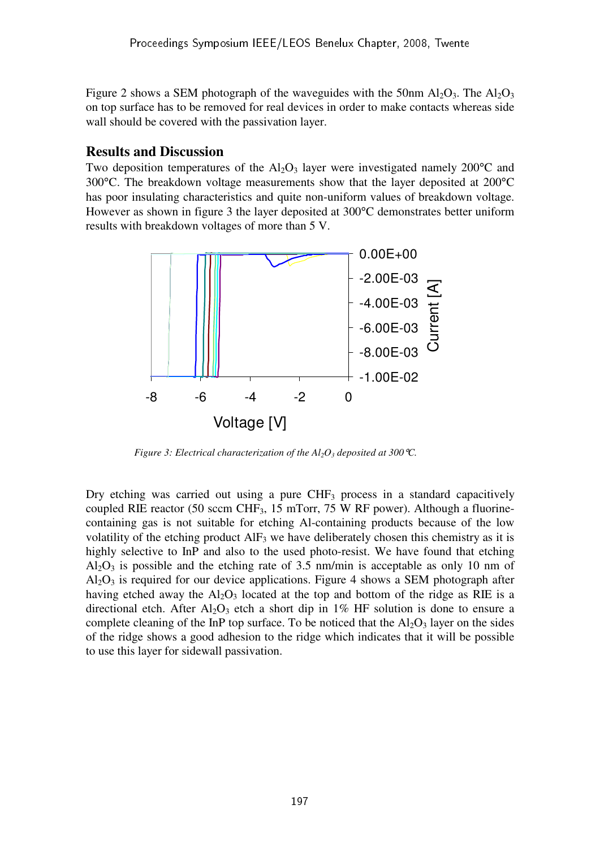Figure 2 shows a SEM photograph of the waveguides with the 50nm Al<sub>2</sub>O<sub>3</sub>. The Al<sub>2</sub>O<sub>3</sub> on top surface has to be removed for real devices in order to make contacts whereas side wall should be covered with the passivation layer.

#### **Results and Discussion**

Two deposition temperatures of the  $Al_2O_3$  layer were investigated namely 200 $^{\circ}$ C and 300°C. The breakdown voltage measurements show that the layer deposited at 200°C has poor insulating characteristics and quite non-uniform values of breakdown voltage. However as shown in figure 3 the layer deposited at 300°C demonstrates better uniform results with breakdown voltages of more than 5 V.



*Figure 3: Electrical characterization of the*  $Al_2O_3$  *deposited at 300 °C.* 

Dry etching was carried out using a pure  $CHF<sub>3</sub>$  process in a standard capacitively coupled RIE reactor (50 sccm CHF3, 15 mTorr, 75 W RF power). Although a fluorinecontaining gas is not suitable for etching Al-containing products because of the low volatility of the etching product  $\text{AIF}_3$  we have deliberately chosen this chemistry as it is highly selective to InP and also to the used photo-resist. We have found that etching  $Al_2O_3$  is possible and the etching rate of 3.5 nm/min is acceptable as only 10 nm of  $Al_2O_3$  is required for our device applications. Figure 4 shows a SEM photograph after having etched away the  $Al_2O_3$  located at the top and bottom of the ridge as RIE is a directional etch. After  $Al_2O_3$  etch a short dip in 1% HF solution is done to ensure a complete cleaning of the InP top surface. To be noticed that the  $Al_2O_3$  layer on the sides of the ridge shows a good adhesion to the ridge which indicates that it will be possible to use this layer for sidewall passivation.